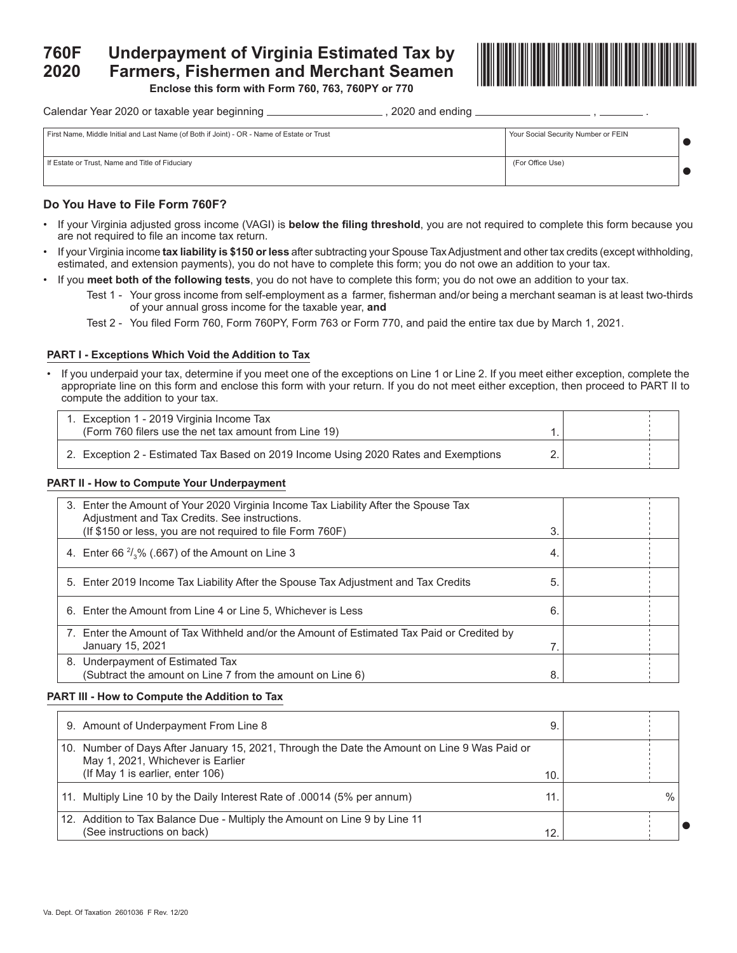# **760F Underpayment of Virginia Estimated Tax by 2020 Farmers, Fishermen and Merchant Seamen**



**Enclose this form with Form 760, 763, 760PY or 770**

Calendar Year 2020 or taxable year beginning  $\frac{2}{2}$  \_\_\_\_\_\_\_\_\_\_\_\_\_\_\_\_\_\_\_\_\_\_\_\_, 2020 and ending  $\frac{2}{2}$ 

| First Name, Middle Initial and Last Name (of Both if Joint) - OR - Name of Estate or Trust | Your Social Security Number or FEIN |  |
|--------------------------------------------------------------------------------------------|-------------------------------------|--|
| If Estate or Trust, Name and Title of Fiduciary                                            | (For Office Use)                    |  |

# **Do You Have to File Form 760F?**

- If your Virginia adjusted gross income (VAGI) is **below the filing threshold**, you are not required to complete this form because you are not required to file an income tax return.
- If your Virginia income **tax liability is \$150 or less** after subtracting your Spouse Tax Adjustment and other tax credits (except withholding, estimated, and extension payments), you do not have to complete this form; you do not owe an addition to your tax.
- If you **meet both of the following tests**, you do not have to complete this form; you do not owe an addition to your tax.
	- Test 1 Your gross income from self-employment as a farmer, fisherman and/or being a merchant seaman is at least two-thirds of your annual gross income for the taxable year, **and**
	- Test 2 You filed Form 760, Form 760PY, Form 763 or Form 770, and paid the entire tax due by March 1, 2021.

# **PART I - Exceptions Which Void the Addition to Tax**

• If you underpaid your tax, determine if you meet one of the exceptions on Line 1 or Line 2. If you meet either exception, complete the appropriate line on this form and enclose this form with your return. If you do not meet either exception, then proceed to PART II to compute the addition to your tax.

| 1. Exception 1 - 2019 Virginia Income Tax                                           |  |  |
|-------------------------------------------------------------------------------------|--|--|
| (Form 760 filers use the net tax amount from Line 19)                               |  |  |
| 2. Exception 2 - Estimated Tax Based on 2019 Income Using 2020 Rates and Exemptions |  |  |

# **PART II - How to Compute Your Underpayment**

| 3. Enter the Amount of Your 2020 Virginia Income Tax Liability After the Spouse Tax<br>Adjustment and Tax Credits. See instructions.<br>(If \$150 or less, you are not required to file Form 760F) | 3  |  |
|----------------------------------------------------------------------------------------------------------------------------------------------------------------------------------------------------|----|--|
| 4. Enter 66 $\frac{2}{3}$ % (.667) of the Amount on Line 3                                                                                                                                         | 4. |  |
| 5. Enter 2019 Income Tax Liability After the Spouse Tax Adjustment and Tax Credits                                                                                                                 | 5  |  |
| 6. Enter the Amount from Line 4 or Line 5, Whichever is Less                                                                                                                                       | 6  |  |
| 7. Enter the Amount of Tax Withheld and/or the Amount of Estimated Tax Paid or Credited by<br>January 15, 2021                                                                                     |    |  |
| 8. Underpayment of Estimated Tax<br>(Subtract the amount on Line 7 from the amount on Line 6)                                                                                                      | 8  |  |

# **PART III - How to Compute the Addition to Tax**

| 9. Amount of Underpayment From Line 8                                                                                                                                 | 9.  |      |  |
|-----------------------------------------------------------------------------------------------------------------------------------------------------------------------|-----|------|--|
| 10. Number of Days After January 15, 2021, Through the Date the Amount on Line 9 Was Paid or<br>May 1, 2021, Whichever is Earlier<br>(If May 1 is earlier, enter 106) | 10. |      |  |
| 11. Multiply Line 10 by the Daily Interest Rate of .00014 (5% per annum)                                                                                              | 11. | $\%$ |  |
| 12. Addition to Tax Balance Due - Multiply the Amount on Line 9 by Line 11<br>(See instructions on back)                                                              | 12. |      |  |